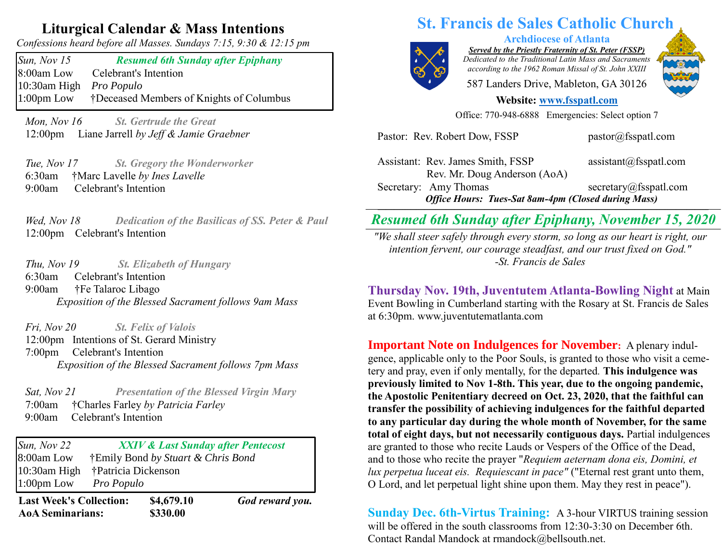## **Liturgical Calendar & Mass Intentions**

*Confessions heard before all Masses. Sundays 7:15, 9:30 & 12:15 pm*

*Sun, Nov 15 Resumed 6th Sunday after Epiphany*  8:00am Low Celebrant's Intention 10:30am High *Pro Populo* 1:00pm Low †Deceased Members of Knights of Columbus

 *Mon, Nov 16 St. Gertrude the Great*  12:00pm Liane Jarrell *by Jeff & Jamie Graebner*

 *Tue, Nov 17 St. Gregory the Wonderworker*  6:30am †Marc Lavelle *by Ines Lavelle* 9:00am Celebrant's Intention

*Wed, Nov 18 Dedication of the Basilicas of SS. Peter & Paul* 12:00pm Celebrant's Intention

 *Thu, Nov 19 St. Elizabeth of Hungary* 6:30amCelebrant's Intention 9:00am **†Fe Talaroc Libago** *Exposition of the Blessed Sacrament follows 9am Mass*

 *Fri, Nov 20 St. Felix of Valois* 12:00pm Intentions of St. Gerard Ministry 7:00pm Celebrant's Intention *Exposition of the Blessed Sacrament follows 7pm Mass*

 *Sat, Nov 21 Presentation of the Blessed Virgin Mary* 7:00am †Charles Farley *by Patricia Farley* 9:00amCelebrant's Intention

*Sun, Nov 22 XXIV & Last Sunday after Pentecost*  8:00am Low †Emily Bond *by Stuart & Chris Bond* 10:30am High †Patricia Dickenson 1:00pm Low *Pro Populo*

**Last Week's Collection: \$4,679.10** *God reward you.* **AoA Seminarians: \$330.00**

# **St. Francis de Sales Catholic Church**



**Archdiocese of Atlanta**

*Served by the Priestly Fraternity of St. Peter (FSSP) Dedicated to the Traditional Latin Mass and Sacraments according to the 1962 Roman Missal of St. John XXIII*

587 Landers Drive, Mableton, GA 30126

#### **Website: [www.fsspatl.com](http://www.fsspatl.com/)**

Office: 770-948-6888 Emergencies: Select option 7

Assistant: Rev. James Smith, FSSP assistant@fsspatl.com Rev. Mr. Doug Anderson (AoA) Secretary: Amy Thomas secretary *(a)* fsspatl.com *Office Hours: Tues-Sat 8am-4pm (Closed during Mass)* **\_\_\_\_\_\_\_\_\_\_\_\_\_\_\_\_\_\_\_\_\_\_\_\_\_\_\_\_\_\_\_\_\_\_\_\_\_\_\_\_\_\_\_\_\_\_\_\_\_\_\_\_\_\_\_\_\_\_\_\_\_\_\_\_\_\_\_\_\_\_\_\_\_\_\_\_\_\_\_\_\_\_\_\_\_\_\_\_\_\_\_\_\_\_\_\_\_\_\_\_\_\_\_\_\_\_\_\_\_\_\_\_\_\_\_\_\_\_\_\_\_**

Pastor: Rev. Robert Dow, FSSP pastor@fsspatl.com

## *Resumed 6th Sunday after Epiphany, November 15, 2020*

*Examed on Sunday after Epiprany, INVelliber 13, 2020*<br>We shall steer safely through every storm, so long as our heart is right, our *intention fervent, our courage steadfast, and our trust fixed on God." -St. Francis de Sales*

**Thursday Nov. 19th, Juventutem Atlanta-Bowling Night** at Main Event Bowling in Cumberland starting with the Rosary at St. Francis de Sales at 6:30pm. www.juventutematlanta.com

**Important Note on Indulgences for November:** A plenary indulgence, applicable only to the Poor Souls, is granted to those who visit a cemetery and pray, even if only mentally, for the departed*.* **This indulgence was previously limited to Nov 1-8th. This year, due to the ongoing pandemic, the Apostolic Penitentiary decreed on Oct. 23, 2020, that the faithful can transfer the possibility of achieving indulgences for the faithful departed to any particular day during the whole month of November, for the same total of eight days, but not necessarily contiguous days.** Partial indulgences are granted to those who recite Lauds or Vespers of the Office of the Dead, and to those who recite the prayer "*Requiem aeternam dona eis, Domini, et lux perpetua luceat eis. Requiescant in pace"* ("Eternal rest grant unto them, O Lord, and let perpetual light shine upon them. May they rest in peace").

**Sunday Dec. 6th-Virtus Training:** A 3-hour VIRTUS training session will be offered in the south classrooms from 12:30-3:30 on December 6th. Contact Randal Mandock at rmandock@bellsouth.net.